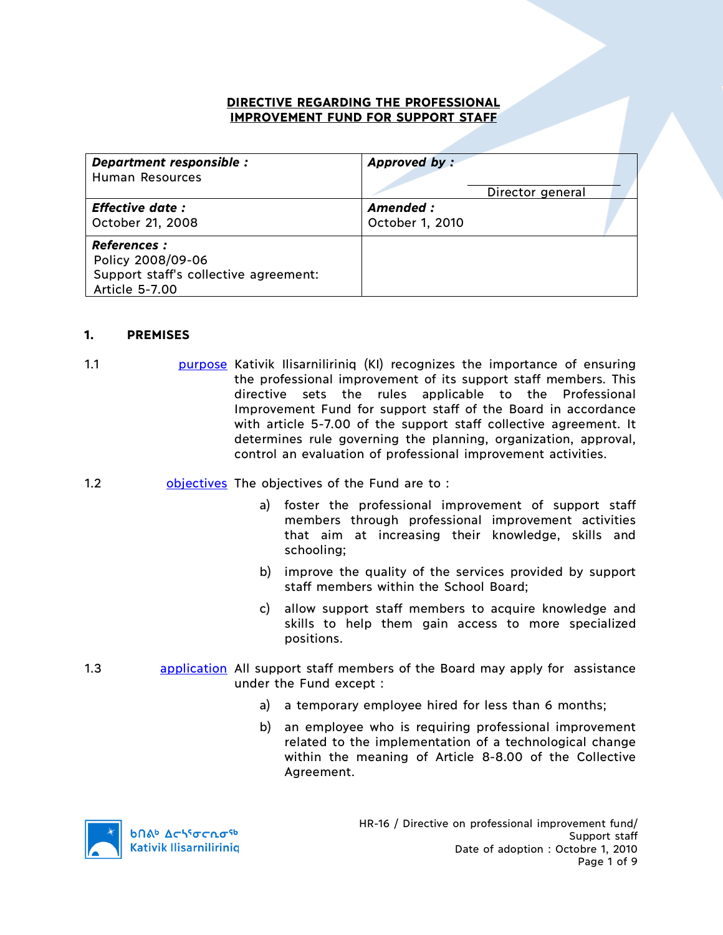### **DIRECTIVE REGARDING THE PROFESSIONAL IMPROVEMENT FUND FOR SUPPORT STAFF**

| Department responsible :                                                                            | Approved by:     |
|-----------------------------------------------------------------------------------------------------|------------------|
| Human Resources                                                                                     | Director general |
| <b>Effective date:</b>                                                                              | Amended :        |
| October 21, 2008                                                                                    | October 1, 2010  |
| <b>References :</b><br>Policy 2008/09-06<br>Support staff's collective agreement:<br>Article 5-7.00 |                  |

### **1. PREMISES**

- 1.1 **bulge burgose Kativik Ilisarniliriniq (KI)** recognizes the importance of ensuring the professional improvement of its support staff members. This directive sets the rules applicable to the Professional Improvement Fund for support staff of the Board in accordance with article 5-7.00 of the support staff collective agreement. It determines rule governing the planning, organization, approval, control an evaluation of professional improvement activities.
- 1.2 objectives The objectives of the Fund are to :
	- a) foster the professional improvement of support staff members through professional improvement activities that aim at increasing their knowledge, skills and schooling;
	- b) improve the quality of the services provided by support staff members within the School Board;
	- c) allow support staff members to acquire knowledge and skills to help them gain access to more specialized positions.
- 1.3 **application** All support staff members of the Board may apply for assistance under the Fund except :
	- a) a temporary employee hired for less than 6 months;
	- b) an employee who is requiring professional improvement related to the implementation of a technological change within the meaning of Article 8-8.00 of the Collective Agreement.

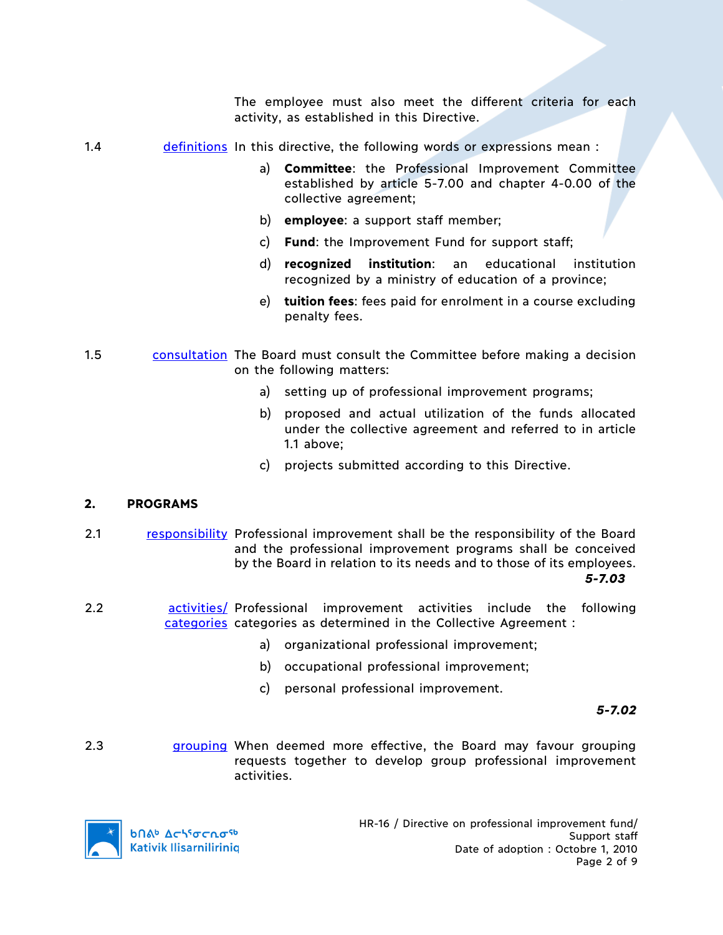The employee must also meet the different criteria for each activity, as established in this Directive.

- 1.4 **definitions** In this directive, the following words or expressions mean :
	- a) **Committee**: the Professional Improvement Committee established by article 5-7.00 and chapter 4-0.00 of the collective agreement;
	- b) **employee**: a support staff member;
	- c) **Fund**: the Improvement Fund for support staff;
	- d) **recognized institution**: an educational institution recognized by a ministry of education of a province;
	- e) **tuition fees**: fees paid for enrolment in a course excluding penalty fees.
- 1.5 consultation The Board must consult the Committee before making a decision on the following matters:
	- a) setting up of professional improvement programs;
	- b) proposed and actual utilization of the funds allocated under the collective agreement and referred to in article 1.1 above;
	- c) projects submitted according to this Directive.

# **2. PROGRAMS**

- 2.1 responsibility Professional improvement shall be the responsibility of the Board and the professional improvement programs shall be conceived by the Board in relation to its needs and to those of its employees. *5-7.03*
- 2.2 **buileen activities/** Professional improvement activities include the following categories categories as determined in the Collective Agreement :
	- a) organizational professional improvement;
	- b) occupational professional improvement;
	- c) personal professional improvement.

*5-7.02*

2.3 **grouping When deemed more effective, the Board may favour grouping** requests together to develop group professional improvement activities.

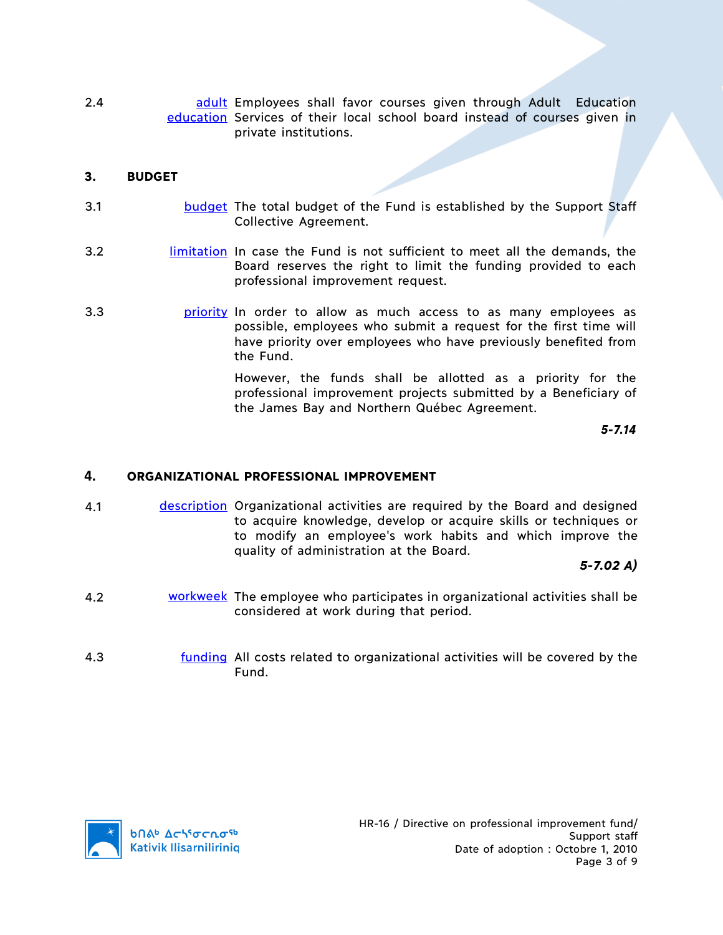2.4 **bushed and adult** Employees shall favor courses given through Adult Education education Services of their local school board instead of courses given in private institutions.

### **3. BUDGET**

- 3.1 **budget** The total budget of the Fund is established by the Support Staff Collective Agreement.
- 3.2 **limitation** In case the Fund is not sufficient to meet all the demands, the Board reserves the right to limit the funding provided to each professional improvement request.
- 3.3 **priority** In order to allow as much access to as many employees as possible, employees who submit a request for the first time will have priority over employees who have previously benefited from the Fund.

However, the funds shall be allotted as a priority for the professional improvement projects submitted by a Beneficiary of the James Bay and Northern Québec Agreement.

*5-7.14*

#### **4. ORGANIZATIONAL PROFESSIONAL IMPROVEMENT**

4.1 description Organizational activities are required by the Board and designed to acquire knowledge, develop or acquire skills or techniques or to modify an employee's work habits and which improve the quality of administration at the Board.

*5-7.02 A)*

- 4.2 workweek The employee who participates in organizational activities shall be considered at work during that period.
- 4.3 funding All costs related to organizational activities will be covered by the Fund.

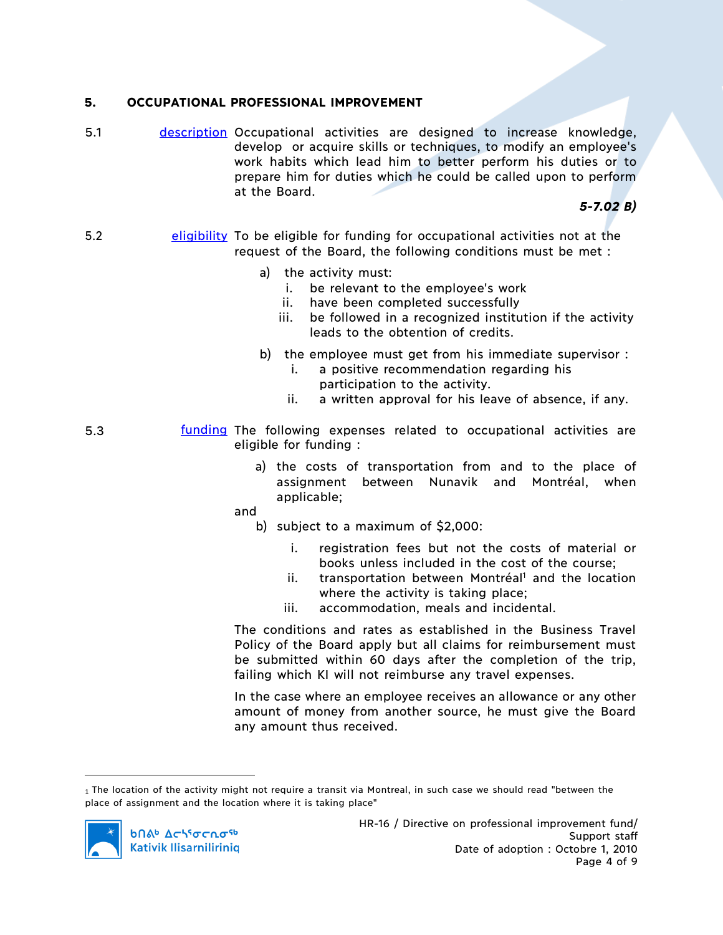### **5. OCCUPATIONAL PROFESSIONAL IMPROVEMENT**

5.1 description Occupational activities are designed to increase knowledge, develop or acquire skills or techniques, to modify an employee's work habits which lead him to better perform his duties or to prepare him for duties which he could be called upon to perform at the Board.

*5-7.02 B)*

- 5.2 eligibility To be eligible for funding for occupational activities not at the request of the Board, the following conditions must be met :
	- a) the activity must:
		- i. be relevant to the employee's work
		- ii. have been completed successfully
		- iii. be followed in a recognized institution if the activity leads to the obtention of credits.
	- b) the employee must get from his immediate supervisor :
		- i. a positive recommendation regarding his participation to the activity.
		- ii. a written approval for his leave of absence, if any.
- 5.3 **funding The following expenses related to occupational activities are** eligible for funding :
	- a) the costs of transportation from and to the place of assignment between Nunavik and Montréal, when applicable;
	- and
		- b) subject to a maximum of \$2,000:
			- i. registration fees but not the costs of material or books unless included in the cost of the course;
			- $ii.$  transportation between Montréal<sup>1</sup> and the location where the activity is taking place;
			- iii. accommodation, meals and incidental.

The conditions and rates as established in the Business Travel Policy of the Board apply but all claims for reimbursement must be submitted within 60 days after the completion of the trip, failing which KI will not reimburse any travel expenses.

In the case where an employee receives an allowance or any other amount of money from another source, he must give the Board any amount thus received.

<sup>1</sup> The location of the activity might not require a transit via Montreal, in such case we should read "between the place of assignment and the location where it is taking place"



 $\overline{a}$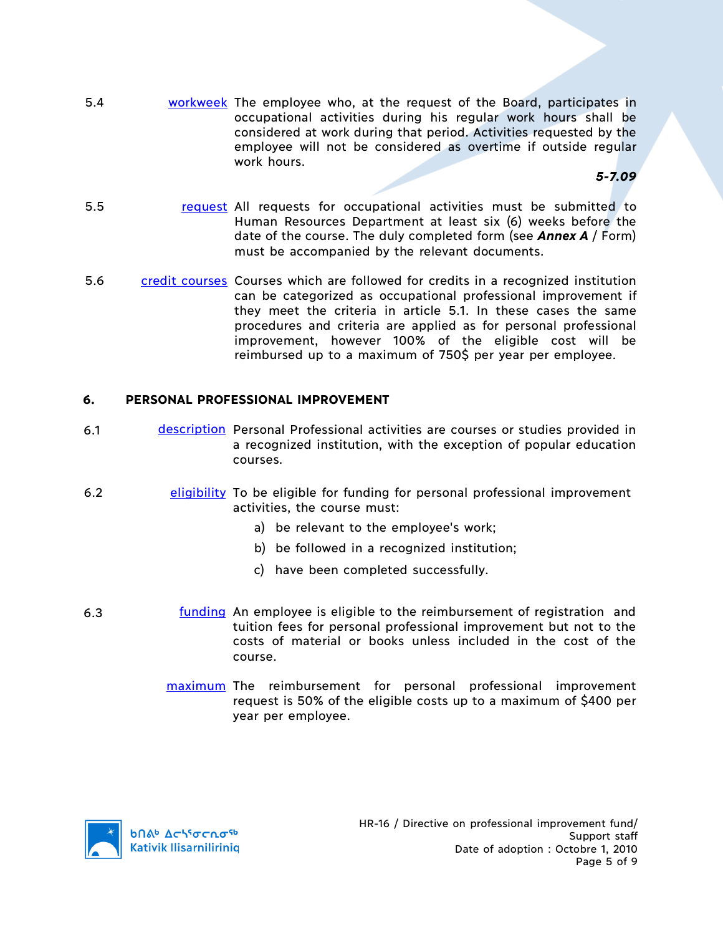5.4 workweek The employee who, at the request of the Board, participates in occupational activities during his regular work hours shall be considered at work during that period. Activities requested by the employee will not be considered as overtime if outside regular work hours.

*5-7.09*

- 5.5 request All requests for occupational activities must be submitted to Human Resources Department at least six (6) weeks before the date of the course. The duly completed form (see *Annex A* / Form) must be accompanied by the relevant documents.
- 5.6 credit courses Courses which are followed for credits in a recognized institution can be categorized as occupational professional improvement if they meet the criteria in article 5.1. In these cases the same procedures and criteria are applied as for personal professional improvement, however 100% of the eligible cost will be reimbursed up to a maximum of 750\$ per year per employee.

# **6. PERSONAL PROFESSIONAL IMPROVEMENT**

- 6.1 description Personal Professional activities are courses or studies provided in a recognized institution, with the exception of popular education courses.
- 6.2 eligibility To be eligible for funding for personal professional improvement activities, the course must:
	- a) be relevant to the employee's work;
	- b) be followed in a recognized institution;
	- c) have been completed successfully.
- 6.3 **funding** An employee is eligible to the reimbursement of registration and tuition fees for personal professional improvement but not to the costs of material or books unless included in the cost of the course.
	- maximum The reimbursement for personal professional improvement request is 50% of the eligible costs up to a maximum of \$400 per year per employee.

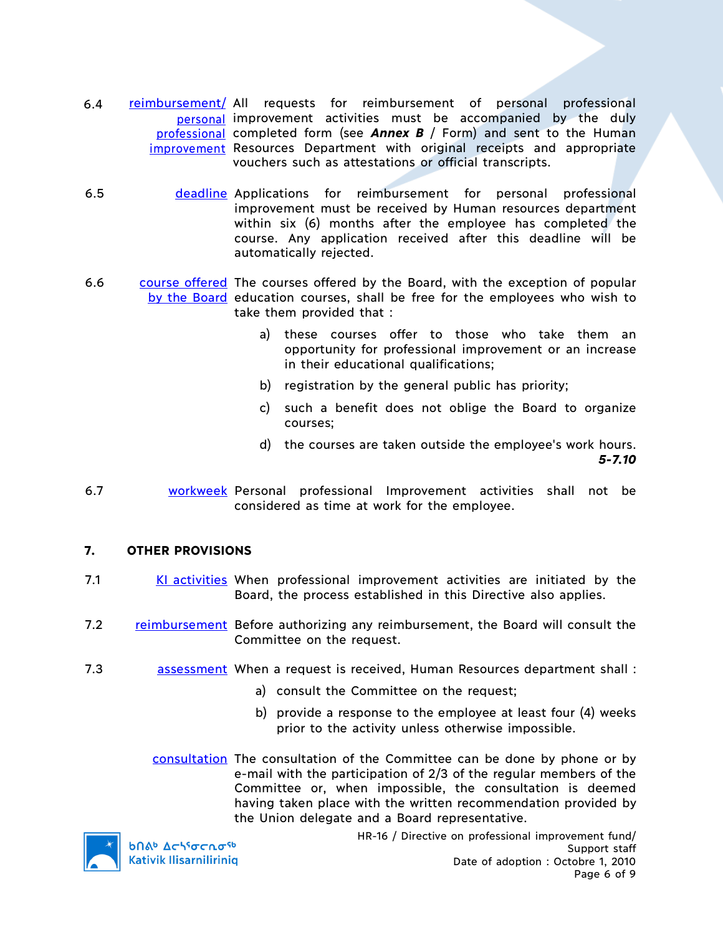- 6.4 reimbursement/ All requests for reimbursement of personal professional personal improvement activities must be accompanied by the duly professional completed form (see *Annex B* / Form) and sent to the Human improvement Resources Department with original receipts and appropriate vouchers such as attestations or official transcripts.
- 6.5 deadline Applications for reimbursement for personal professional improvement must be received by Human resources department within six (6) months after the employee has completed the course. Any application received after this deadline will be automatically rejected.
- 6.6 course offered The courses offered by the Board, with the exception of popular by the Board education courses, shall be free for the employees who wish to take them provided that :
	- a) these courses offer to those who take them an opportunity for professional improvement or an increase in their educational qualifications;
	- b) registration by the general public has priority;
	- c) such a benefit does not oblige the Board to organize courses;
	- d) the courses are taken outside the employee's work hours. *5-7.10*
- 6.7 workweek Personal professional Improvement activities shall not be considered as time at work for the employee.

# **7. OTHER PROVISIONS**

- 7.1 KI activities When professional improvement activities are initiated by the Board, the process established in this Directive also applies.
- 7.2 reimbursement Before authorizing any reimbursement, the Board will consult the Committee on the request.
- 7.3 assessment When a request is received, Human Resources department shall :
	- a) consult the Committee on the request;
	- b) provide a response to the employee at least four (4) weeks prior to the activity unless otherwise impossible.

consultation The consultation of the Committee can be done by phone or by e-mail with the participation of 2/3 of the regular members of the Committee or, when impossible, the consultation is deemed having taken place with the written recommendation provided by the Union delegate and a Board representative.



**b**Πል<sup>b</sup> Δςιγσς ησ<sup>ς 6</sup> **Kativik Ilisarniliriniq**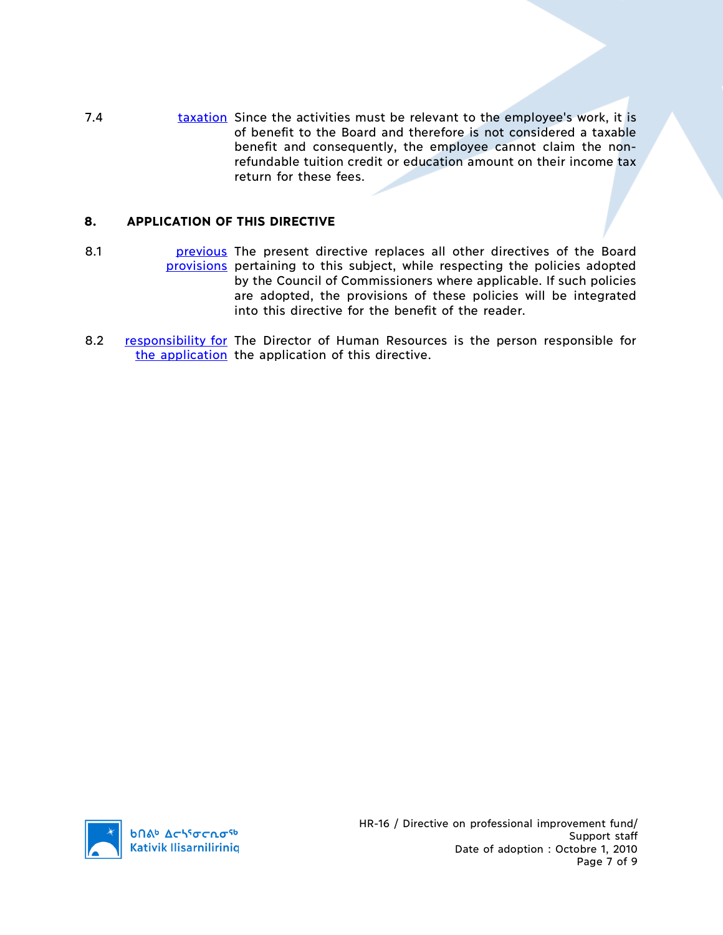7.4 taxation Since the activities must be relevant to the employee's work, it is of benefit to the Board and therefore is not considered a taxable benefit and consequently, the employee cannot claim the nonrefundable tuition credit or education amount on their income tax return for these fees.

# **8. APPLICATION OF THIS DIRECTIVE**

- 8.1 **business** present directive replaces all other directives of the Board provisions pertaining to this subject, while respecting the policies adopted by the Council of Commissioners where applicable. If such policies are adopted, the provisions of these policies will be integrated into this directive for the benefit of the reader.
- 8.2 responsibility for The Director of Human Resources is the person responsible for the application the application of this directive.

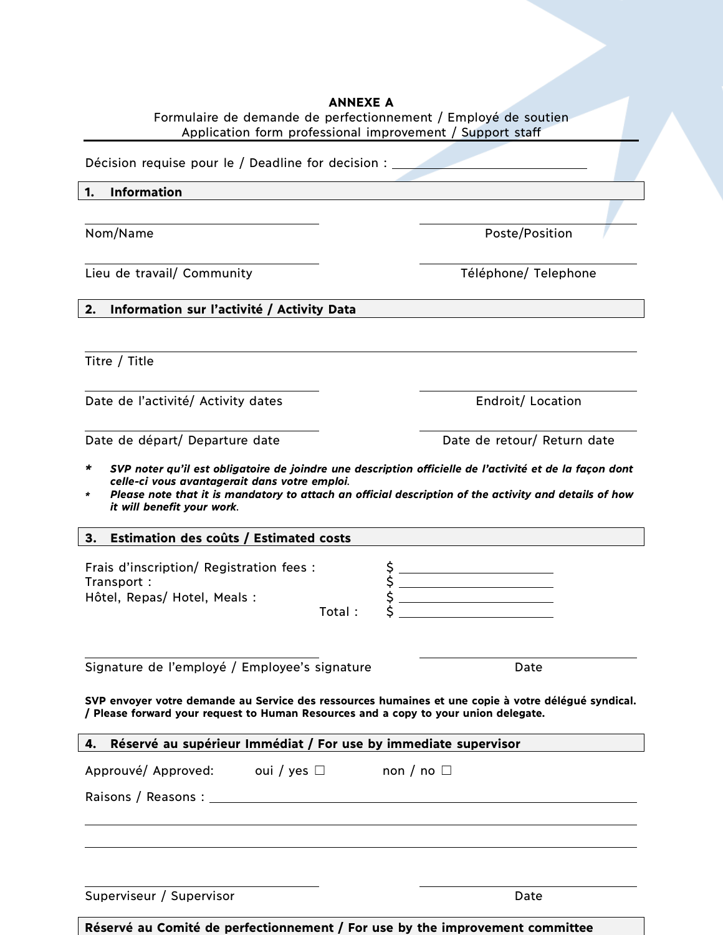| <b>ANNEXE A</b><br>Formulaire de demande de perfectionnement / Employé de soutien<br>Application form professional improvement / Support staff                                             |                             |  |  |  |
|--------------------------------------------------------------------------------------------------------------------------------------------------------------------------------------------|-----------------------------|--|--|--|
| Décision requise pour le / Deadline for decision : _____________________________                                                                                                           |                             |  |  |  |
| Information<br>1.                                                                                                                                                                          |                             |  |  |  |
|                                                                                                                                                                                            |                             |  |  |  |
| Nom/Name                                                                                                                                                                                   | Poste/Position              |  |  |  |
| Lieu de travail/ Community                                                                                                                                                                 | Téléphone/ Telephone        |  |  |  |
| Information sur l'activité / Activity Data<br>2.                                                                                                                                           |                             |  |  |  |
|                                                                                                                                                                                            |                             |  |  |  |
| Titre / Title                                                                                                                                                                              |                             |  |  |  |
| Date de l'activité/ Activity dates                                                                                                                                                         | Endroit/ Location           |  |  |  |
| Date de départ/ Departure date                                                                                                                                                             | Date de retour/ Return date |  |  |  |
| Please note that it is mandatory to attach an official description of the activity and details of how<br>*<br>it will benefit your work.<br>3.<br>Estimation des coûts / Estimated costs   |                             |  |  |  |
| Frais d'inscription/ Registration fees :<br>Transport:<br>Hôtel, Repas/ Hotel, Meals :<br>Total:                                                                                           |                             |  |  |  |
| Signature de l'employé / Employee's signature                                                                                                                                              | Date                        |  |  |  |
| SVP envoyer votre demande au Service des ressources humaines et une copie à votre délégué syndical.<br>/ Please forward your request to Human Resources and a copy to your union delegate. |                             |  |  |  |
| Réservé au supérieur Immédiat / For use by immediate supervisor<br>4.                                                                                                                      |                             |  |  |  |
| Approuvé/ Approved: oui / yes $\square$                                                                                                                                                    | non / no $\Box$             |  |  |  |
| Raisons / Reasons : National Property of Press, and Press, and Press, and Press, and Press, and Press, and                                                                                 |                             |  |  |  |
|                                                                                                                                                                                            |                             |  |  |  |
| Superviseur / Supervisor                                                                                                                                                                   | Date                        |  |  |  |

|  | Réservé au Comité de perfectionnement / For use by the improvement committee |
|--|------------------------------------------------------------------------------|
|--|------------------------------------------------------------------------------|